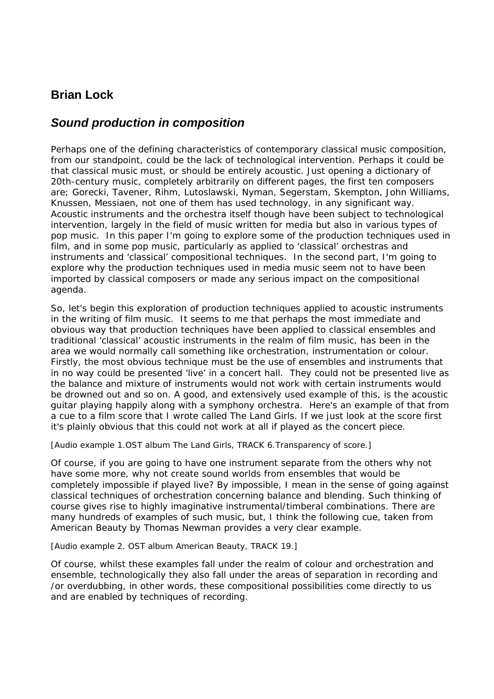# **Brian Lock**

## *Sound production in composition*

Perhaps one of the defining characteristics of contemporary classical music composition, from our standpoint, could be the lack of technological intervention. Perhaps it could be that classical music must, or should be entirely acoustic. Just opening a dictionary of 20th-century music, completely arbitrarily on different pages, the first ten composers are; Gorecki, Tavener, Rihm, Lutoslawski, Nyman, Segerstam, Skempton, John Williams, Knussen, Messiaen, not one of them has used technology, in any significant way. Acoustic instruments and the orchestra itself though have been subject to technological intervention, largely in the field of music written for media but also in various types of pop music. In this paper I'm going to explore some of the production techniques used in film, and in some pop music, particularly as applied to 'classical' orchestras and instruments and 'classical' compositional techniques. In the second part, I'm going to explore why the production techniques used in media music seem not to have been imported by classical composers or made any serious impact on the compositional agenda.

So, let's begin this exploration of production techniques applied to acoustic instruments in the writing of film music. It seems to me that perhaps the most immediate and obvious way that production techniques have been applied to classical ensembles and traditional 'classical' acoustic instruments in the realm of film music, has been in the area we would normally call something like orchestration, instrumentation or colour. Firstly, the most obvious technique must be the use of ensembles and instruments that in no way could be presented 'live' in a concert hall. They could not be presented live as the balance and mixture of instruments would not work with certain instruments would be drowned out and so on. A good, and extensively used example of this, is the acoustic guitar playing happily along with a symphony orchestra. Here's an example of that from a cue to a film score that I wrote called *The Land Girls*. If we just look at the score first it's plainly obvious that this could not work at all if played as the concert piece.

## *[Audio example 1.OST album* The Land Girls, *TRACK 6.Transparency of score.]*

Of course, if you are going to have one instrument separate from the others why not have some more, why not create sound worlds from ensembles that would be completely impossible if played live? By impossible, I mean in the sense of going against classical techniques of orchestration concerning balance and blending. Such thinking of course gives rise to highly imaginative instrumental/timberal combinations. There are many hundreds of examples of such music, but, I think the following cue, taken from *American Beauty* by Thomas Newman provides a very clear example.

## *[Audio example 2. OST album* American Beauty, *TRACK 19.]*

Of course, whilst these examples fall under the realm of colour and orchestration and ensemble, technologically they also fall under the areas of separation in recording and /or overdubbing, in other words, these compositional possibilities come directly to us and are enabled by techniques of recording.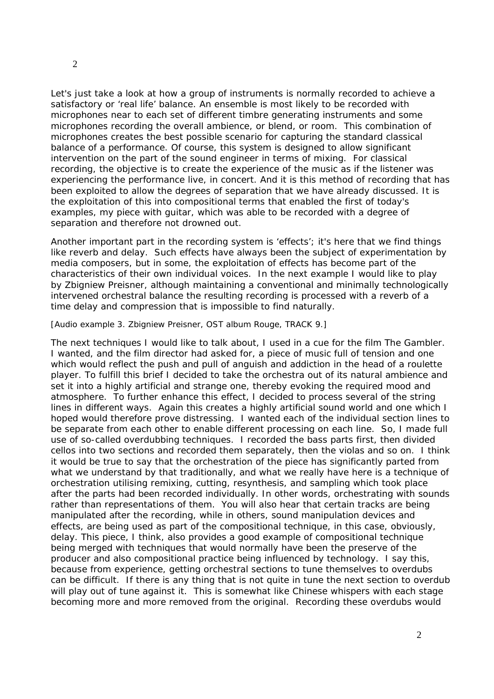Let's just take a look at how a group of instruments is normally recorded to achieve a satisfactory or 'real life' balance. An ensemble is most likely to be recorded with microphones near to each set of different timbre generating instruments and some microphones recording the overall ambience, or blend, or room. This combination of microphones creates the best possible scenario for capturing the standard classical balance of a performance. Of course, this system is designed to allow significant intervention on the part of the sound engineer in terms of mixing. For classical recording, the objective is to create the experience of the music as if the listener was experiencing the performance live, in concert. And it is this method of recording that has been exploited to allow the degrees of separation that we have already discussed. It is the exploitation of this into compositional terms that enabled the first of today's examples, my piece with guitar, which was able to be recorded with a degree of separation and therefore not drowned out.

Another important part in the recording system is 'effects'; it's here that we find things like reverb and delay. Such effects have always been the subject of experimentation by media composers, but in some, the exploitation of effects has become part of the characteristics of their own individual voices. In the next example I would like to play by Zbigniew Preisner, although maintaining a conventional and minimally technologically intervened orchestral balance the resulting recording is processed with a reverb of a time delay and compression that is impossible to find naturally.

#### *[Audio example 3. Zbigniew Preisner, OST album* Rouge*, TRACK 9.]*

The next techniques I would like to talk about, I used in a cue for the film *The Gambler*. I wanted, and the film director had asked for, a piece of music full of tension and one which would reflect the push and pull of anguish and addiction in the head of a roulette player. To fulfill this brief I decided to take the orchestra out of its natural ambience and set it into a highly artificial and strange one, thereby evoking the required mood and atmosphere. To further enhance this effect, I decided to process several of the string lines in different ways. Again this creates a highly artificial sound world and one which I hoped would therefore prove distressing. I wanted each of the individual section lines to be separate from each other to enable different processing on each line. So, I made full use of so-called overdubbing techniques. I recorded the bass parts first, then divided cellos into two sections and recorded them separately, then the violas and so on. I think it would be true to say that the orchestration of the piece has significantly parted from what we understand by that traditionally, and what we really have here is a technique of orchestration utilising remixing, cutting, resynthesis, and sampling which took place after the parts had been recorded individually. In other words, orchestrating with sounds rather than representations of them. You will also hear that certain tracks are being manipulated after the recording, while in others, sound manipulation devices and effects, are being used as part of the compositional technique, in this case, obviously, delay. This piece, I think, also provides a good example of compositional technique being merged with techniques that would normally have been the preserve of the producer and also compositional practice being influenced by technology. I say this, because from experience, getting orchestral sections to tune themselves to overdubs can be difficult. If there is any thing that is not quite in tune the next section to overdub will play out of tune against it. This is somewhat like Chinese whispers with each stage becoming more and more removed from the original. Recording these overdubs would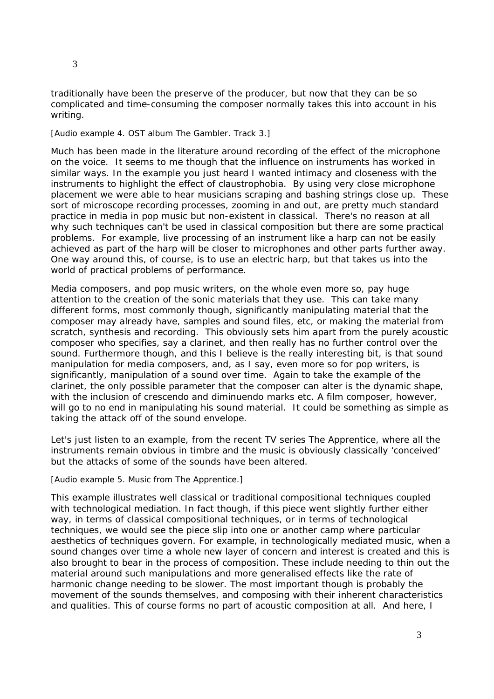traditionally have been the preserve of the producer, but now that they can be so complicated and time-consuming the composer normally takes this into account in his writing.

#### *[Audio example 4. OST album* The Gambler*. Track 3.]*

Much has been made in the literature around recording of the effect of the microphone on the voice. It seems to me though that the influence on instruments has worked in similar ways. In the example you just heard I wanted intimacy and closeness with the instruments to highlight the effect of claustrophobia. By using very close microphone placement we were able to hear musicians scraping and bashing strings close up. These sort of microscope recording processes, zooming in and out, are pretty much standard practice in media in pop music but non-existent in classical. There's no reason at all why such techniques can't be used in classical composition but there are some practical problems. For example, live processing of an instrument like a harp can not be easily achieved as part of the harp will be closer to microphones and other parts further away. One way around this, of course, is to use an electric harp, but that takes us into the world of practical problems of performance.

Media composers, and pop music writers, on the whole even more so, pay huge attention to the creation of the sonic materials that they use. This can take many different forms, most commonly though, significantly manipulating material that the composer may already have, samples and sound files, etc, or making the material from scratch, synthesis and recording. This obviously sets him apart from the purely acoustic composer who specifies, say a clarinet, and then really has no further control over the sound. Furthermore though, and this I believe is the really interesting bit, is that sound manipulation for media composers, and, as I say, even more so for pop writers, is significantly, manipulation of a sound over time. Again to take the example of the clarinet, the only possible parameter that the composer can alter is the dynamic shape, with the inclusion of crescendo and diminuendo marks etc. A film composer, however, will go to no end in manipulating his sound material. It could be something as simple as taking the attack off of the sound envelope.

Let's just listen to an example, from the recent TV series *The Apprentice*, where all the instruments remain obvious in timbre and the music is obviously classically 'conceived' but the attacks of some of the sounds have been altered.

#### *[Audio example 5. Music from* The Apprentice*.]*

This example illustrates well classical or traditional compositional techniques coupled with technological mediation. In fact though, if this piece went slightly further either way, in terms of classical compositional techniques, or in terms of technological techniques, we would see the piece slip into one or another camp where particular aesthetics of techniques govern. For example, in technologically mediated music, when a sound changes over time a whole new layer of concern and interest is created and this is also brought to bear in the process of composition. These include needing to thin out the material around such manipulations and more generalised effects like the rate of harmonic change needing to be slower. The most important though is probably the movement of the sounds themselves, and composing with their inherent characteristics and qualities. This of course forms no part of acoustic composition at all. And here, I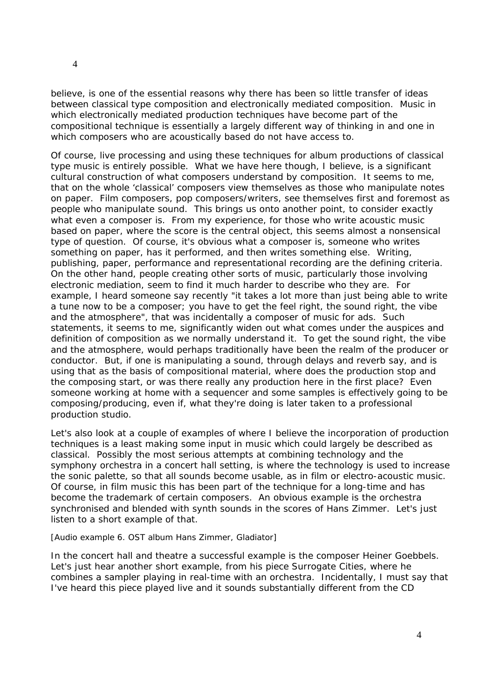believe, is one of the essential reasons why there has been so little transfer of ideas between classical type composition and electronically mediated composition. Music in which electronically mediated production techniques have become part of the compositional technique is essentially a largely different way of thinking in and one in which composers who are acoustically based do not have access to.

Of course, live processing and using these techniques for album productions of classical type music is entirely possible. What we have here though, I believe, is a significant cultural construction of what composers understand by composition. It seems to me, that on the whole 'classical' composers view themselves as those who manipulate notes on paper. Film composers, pop composers/writers, see themselves first and foremost as people who manipulate sound. This brings us onto another point, to consider exactly what even a composer is. From my experience, for those who write acoustic music based on paper, where the score is the central object, this seems almost a nonsensical type of question. Of course, it's obvious what a composer is, someone who writes something on paper, has it performed, and then writes something else. Writing, publishing, paper, performance and representational recording are the defining criteria. On the other hand, people creating other sorts of music, particularly those involving electronic mediation, seem to find it much harder to describe who they are. For example, I heard someone say recently "it takes a lot more than just being able to write a tune now to be a composer; you have to get the feel right, the sound right, the vibe and the atmosphere", that was incidentally a composer of music for ads. Such statements, it seems to me, significantly widen out what comes under the auspices and definition of composition as we normally understand it. To get the sound right, the vibe and the atmosphere, would perhaps traditionally have been the realm of the producer or conductor. But, if one is manipulating a sound, through delays and reverb say, and is using that as the basis of compositional material, where does the production stop and the composing start, or was there really any production here in the first place? Even someone working at home with a sequencer and some samples is effectively going to be composing/producing, even if, what they're doing is later taken to a professional production studio.

Let's also look at a couple of examples of where I believe the incorporation of production techniques is a least making some input in music which could largely be described as classical. Possibly the most serious attempts at combining technology and the symphony orchestra in a concert hall setting, is where the technology is used to increase the sonic palette, so that all sounds become usable, as in film or electro-acoustic music. Of course, in film music this has been part of the technique for a long-time and has become the trademark of certain composers. An obvious example is the orchestra synchronised and blended with synth sounds in the scores of Hans Zimmer. Let's just listen to a short example of that.

#### *[Audio example 6. OST album Hans Zimmer,* Gladiator*]*

In the concert hall and theatre a successful example is the composer Heiner Goebbels. Let's just hear another short example, from his piece *Surrogate Cities*, where he combines a sampler playing in real-time with an orchestra. Incidentally, I must say that I've heard this piece played live and it sounds substantially different from the CD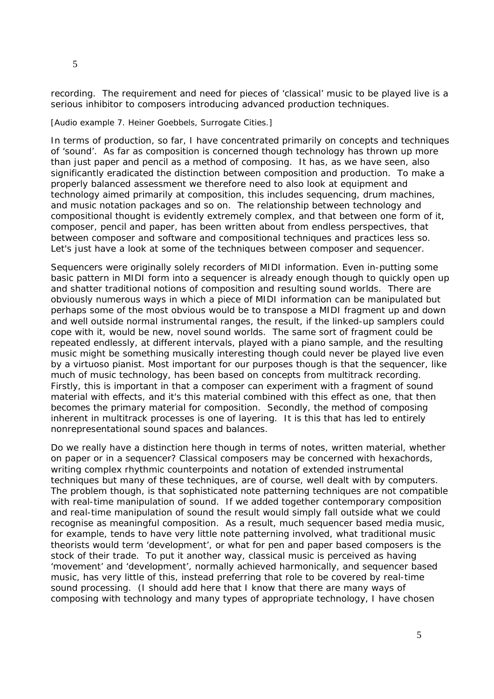recording. The requirement and need for pieces of 'classical' music to be played live is a serious inhibitor to composers introducing advanced production techniques.

#### *[Audio example 7. Heiner Goebbels,* Surrogate Cities*.]*

In terms of production, so far, I have concentrated primarily on concepts and techniques of 'sound'. As far as composition is concerned though technology has thrown up more than just paper and pencil as a method of composing. It has, as we have seen, also significantly eradicated the distinction between composition and production. To make a properly balanced assessment we therefore need to also look at equipment and technology aimed primarily at composition, this includes sequencing, drum machines, and music notation packages and so on. The relationship between technology and compositional thought is evidently extremely complex, and that between one form of it, composer, pencil and paper, has been written about from endless perspectives, that between composer and software and compositional techniques and practices less so. Let's just have a look at some of the techniques between composer and sequencer.

Sequencers were originally solely recorders of MIDI information. Even in-putting some basic pattern in MIDI form into a sequencer is already enough though to quickly open up and shatter traditional notions of composition and resulting sound worlds. There are obviously numerous ways in which a piece of MIDI information can be manipulated but perhaps some of the most obvious would be to transpose a MIDI fragment up and down and well outside normal instrumental ranges, the result, if the linked-up samplers could cope with it, would be new, novel sound worlds. The same sort of fragment could be repeated endlessly, at different intervals, played with a piano sample, and the resulting music might be something musically interesting though could never be played live even by a virtuoso pianist. Most important for our purposes though is that the sequencer, like much of music technology, has been based on concepts from multitrack recording. Firstly, this is important in that a composer can experiment with a fragment of sound material with effects, and it's this material combined with this effect as one, that then becomes the primary material for composition. Secondly, the method of composing inherent in multitrack processes is one of layering. It is this that has led to entirely nonrepresentational sound spaces and balances.

Do we really have a distinction here though in terms of notes, written material, whether on paper or in a sequencer? Classical composers may be concerned with hexachords, writing complex rhythmic counterpoints and notation of extended instrumental techniques but many of these techniques, are of course, well dealt with by computers. The problem though, is that sophisticated note patterning techniques are not compatible with real-time manipulation of sound. If we added together contemporary composition and real-time manipulation of sound the result would simply fall outside what we could recognise as meaningful composition. As a result, much sequencer based media music, for example, tends to have very little note patterning involved, what traditional music theorists would term 'development', or what for pen and paper based composers is the stock of their trade. To put it another way, classical music is perceived as having 'movement' and 'development', normally achieved harmonically, and sequencer based music, has very little of this, instead preferring that role to be covered by real-time sound processing. (I should add here that I know that there are many ways of composing with technology and many types of appropriate technology, I have chosen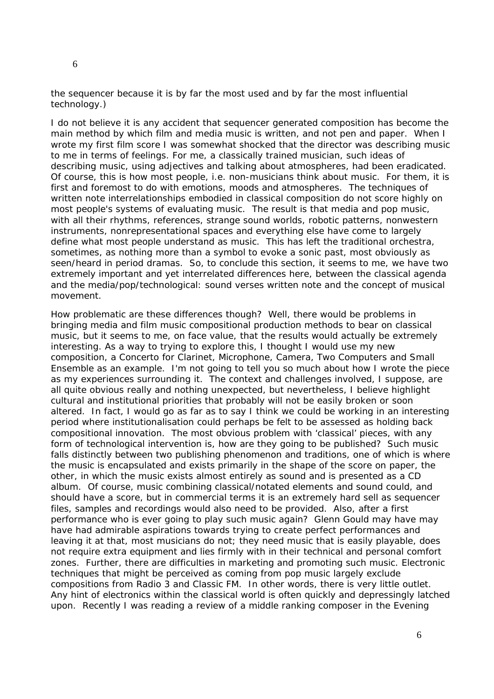the sequencer because it is by far the most used and by far the most influential technology.)

I do not believe it is any accident that sequencer generated composition has become the main method by which film and media music is written, and not pen and paper. When I wrote my first film score I was somewhat shocked that the director was describing music to me in terms of feelings. For me, a classically trained musician, such ideas of describing music, using adjectives and talking about atmospheres, had been eradicated. Of course, this is how most people, i.e. non-musicians think about music. For them, it is first and foremost to do with emotions, moods and atmospheres. The techniques of written note interrelationships embodied in classical composition do not score highly on most people's systems of evaluating music. The result is that media and pop music, with all their rhythms, references, strange sound worlds, robotic patterns, nonwestern instruments, nonrepresentational spaces and everything else have come to largely define what most people understand as music. This has left the traditional orchestra, sometimes, as nothing more than a symbol to evoke a sonic past, most obviously as seen/heard in period dramas. So, to conclude this section, it seems to me, we have two extremely important and yet interrelated differences here, between the classical agenda and the media/pop/technological: sound verses written note and the concept of musical movement.

How problematic are these differences though? Well, there would be problems in bringing media and film music compositional production methods to bear on classical music, but it seems to me, on face value, that the results would actually be extremely interesting. As a way to trying to explore this, I thought I would use my new composition, a *Concerto for Clarinet, Microphone, Camera, Two Computers and Small Ensemble* as an example. I'm not going to tell you so much about how I wrote the piece as my experiences surrounding it. The context and challenges involved, I suppose, are all quite obvious really and nothing unexpected, but nevertheless, I believe highlight cultural and institutional priorities that probably will not be easily broken or soon altered. In fact, I would go as far as to say I think we could be working in an interesting period where institutionalisation could perhaps be felt to be assessed as holding back compositional innovation. The most obvious problem with 'classical' pieces, with any form of technological intervention is, how are they going to be published? Such music falls distinctly between two publishing phenomenon and traditions, one of which is where the music is encapsulated and exists primarily in the shape of the score on paper, the other, in which the music exists almost entirely as sound and is presented as a CD album. Of course, music combining classical/notated elements and sound could, and should have a score, but in commercial terms it is an extremely hard sell as sequencer files, samples and recordings would also need to be provided. Also, after a first performance who is ever going to play such music again? Glenn Gould may have may have had admirable aspirations towards trying to create perfect performances and leaving it at that, most musicians do not; they need music that is easily playable, does not require extra equipment and lies firmly with in their technical and personal comfort zones. Further, there are difficulties in marketing and promoting such music. Electronic techniques that might be perceived as coming from pop music largely exclude compositions from Radio 3 and Classic FM. In other words, there is very little outlet. Any hint of electronics within the classical world is often quickly and depressingly latched upon. Recently I was reading a review of a middle ranking composer in the Evening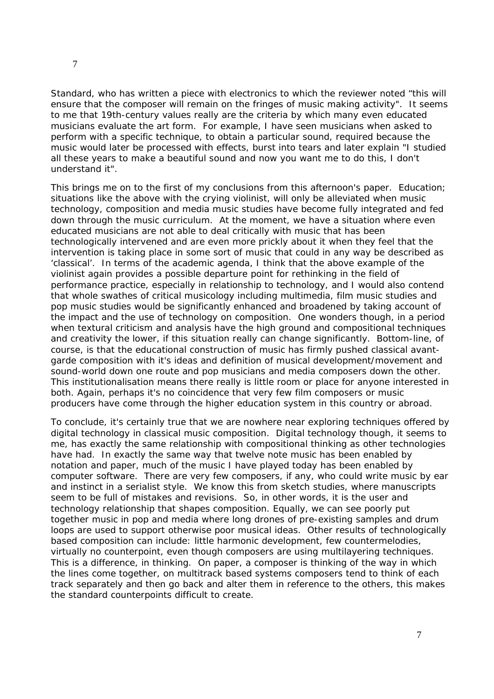Standard, who has written a piece with electronics to which the reviewer noted "this will ensure that the composer will remain on the fringes of music making activity". It seems to me that 19th-century values really are the criteria by which many even educated musicians evaluate the art form. For example, I have seen musicians when asked to perform with a specific technique, to obtain a particular sound, required because the music would later be processed with effects, burst into tears and later explain "I studied all these years to make a beautiful sound and now you want me to do this, I don't understand it".

This brings me on to the first of my conclusions from this afternoon's paper. Education; situations like the above with the crying violinist, will only be alleviated when music technology, composition and media music studies have become fully integrated and fed down through the music curriculum. At the moment, we have a situation where even educated musicians are not able to deal critically with music that has been technologically intervened and are even more prickly about it when they feel that the intervention is taking place in some sort of music that could in any way be described as 'classical'. In terms of the academic agenda, I think that the above example of the violinist again provides a possible departure point for rethinking in the field of performance practice, especially in relationship to technology, and I would also contend that whole swathes of critical musicology including multimedia, film music studies and pop music studies would be significantly enhanced and broadened by taking account of the impact and the use of technology on composition. One wonders though, in a period when textural criticism and analysis have the high ground and compositional techniques and creativity the lower, if this situation really can change significantly. Bottom-line, of course, is that the educational construction of music has firmly pushed classical avantgarde composition with it's ideas and definition of musical development/movement and sound-world down one route and pop musicians and media composers down the other. This institutionalisation means there really is little room or place for anyone interested in both. Again, perhaps it's no coincidence that very few film composers or music producers have come through the higher education system in this country or abroad.

To conclude, it's certainly true that we are nowhere near exploring techniques offered by digital technology in classical music composition. Digital technology though, it seems to me, has exactly the same relationship with compositional thinking as other technologies have had. In exactly the same way that twelve note music has been enabled by notation and paper, much of the music I have played today has been enabled by computer software. There are very few composers, if any, who could write music by ear and instinct in a serialist style. We know this from sketch studies, where manuscripts seem to be full of mistakes and revisions. So, in other words, it is the user and technology relationship that shapes composition. Equally, we can see poorly put together music in pop and media where long drones of pre-existing samples and drum loops are used to support otherwise poor musical ideas. Other results of technologically based composition can include: little harmonic development, few countermelodies, virtually no counterpoint, even though composers are using multilayering techniques. This is a difference, in thinking. On paper, a composer is thinking of the way in which the lines come together, on multitrack based systems composers tend to think of each track separately and then go back and alter them in reference to the others, this makes the standard counterpoints difficult to create.